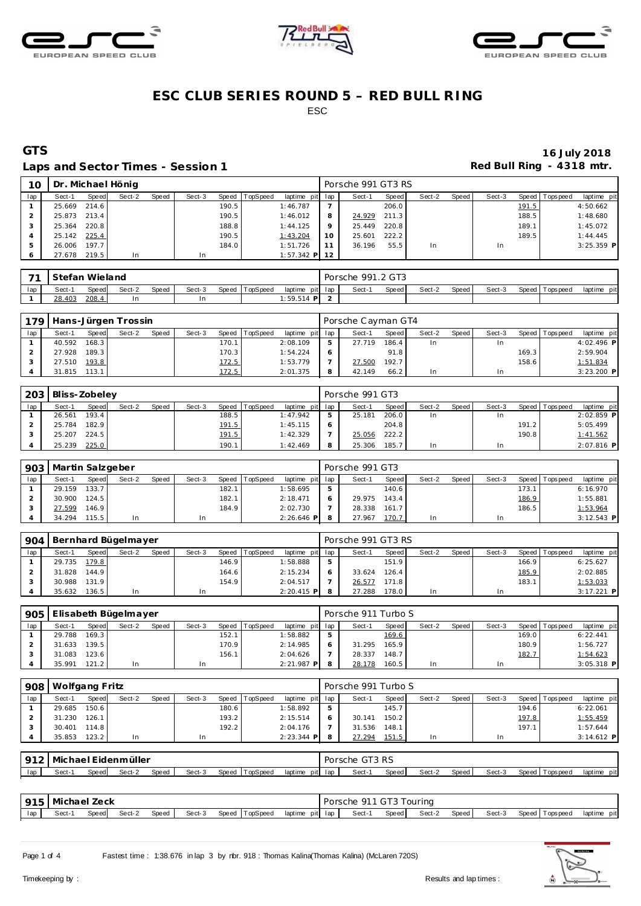





### Laps and Sector Times - Session 1 **Red Bull Ring - 4318 mtr. Red Bull Ring - 4318 mtr.**

# **GTS 16 July 2018**

| 10  |              |       | Dr. Michael Hönig |       |        |       |                |                 |    | Porsche 991 GT3 RS |       |        |       |        |       |                |              |
|-----|--------------|-------|-------------------|-------|--------|-------|----------------|-----------------|----|--------------------|-------|--------|-------|--------|-------|----------------|--------------|
| lap | Sect-1       | Speed | Sect-2            | Speed | Sect-3 |       | Speed TopSpeed | laptime pit lap |    | Sect-1             | Speed | Sect-2 | Speed | Sect-3 |       | Speed Topspeed | laptime pit  |
|     | 25.669 214.6 |       |                   |       |        | 190.5 |                | 1:46.787        |    |                    | 206.0 |        |       |        | 191.5 |                | 4:50.662     |
|     | 25.873 213.4 |       |                   |       |        | 190.5 |                | 1:46.012        |    | 24.929             | 211.3 |        |       |        | 188.5 |                | 1:48.680     |
|     | 25.364 220.8 |       |                   |       |        | 188.8 |                | 1:44.125        |    | 25.449             | 220.8 |        |       |        | 189.1 |                | 1:45.072     |
|     | 25.142 225.4 |       |                   |       |        | 190.5 |                | 1:43.204        | 10 | 25.601             | 222.2 |        |       |        | 189.5 |                | 1:44.445     |
|     | 26.006       | 197.7 |                   |       |        | 184.0 |                | 1:51.726        |    | 36.196             | 55.5  | In     |       | In.    |       |                | $3:25.359$ P |
|     | 27.678 219.5 |       | In                |       |        |       |                | $1:57.342$ P 12 |    |                    |       |        |       |        |       |                |              |

| $\overline{\phantom{a}}$ | Stefan Wieland |       |        |              |        |       |                 |             |         | Porsche 991.2 GT3 |       |        |       |        |                |                |
|--------------------------|----------------|-------|--------|--------------|--------|-------|-----------------|-------------|---------|-------------------|-------|--------|-------|--------|----------------|----------------|
| lap                      | Sect-          | Speed | Sect-2 | <b>Speed</b> | Sect-3 | Speed | <b>TopSpeed</b> | laptime     | pit lap | Sect-             | Speed | Sect-2 | Speed | Sect-3 | Speed Topspeed | pit<br>laptime |
|                          | 28.403         | 208.4 | In.    |              | 1n     |       |                 | $:59.514$ P |         |                   |       |        |       |        |                |                |

| 179 |        |       | Hans-Jürgen Trossin |       |                 |          |                 | Porsche Cayman GT4 |       |        |       |        |       |                 |              |
|-----|--------|-------|---------------------|-------|-----------------|----------|-----------------|--------------------|-------|--------|-------|--------|-------|-----------------|--------------|
| lap | Sect-1 | Speed | Sect-2              | Speed | Sect-3<br>Speed | TopSpeed | laptime pit lap | Sect-1             | Speed | Sect-2 | Speed | Sect-3 |       | Speed Tops peed | laptime pit  |
|     | 40.592 | 168.3 |                     |       | 170.1.          |          | 2:08.109        | 27 719             | 186.4 |        |       | ın     |       |                 | 4:02.496 P   |
|     | 27.928 | 189.3 |                     |       | 170.3           |          | 1:54.224        |                    | 91.8  |        |       |        | 169.3 |                 | 2:59.904     |
|     | 27.510 | 193.8 |                     |       | 172.5           |          | 1:53.779        | 27.500             | 192.7 |        |       |        | 158.6 |                 | 1:51.834     |
|     | 31.815 | 113.1 |                     |       | 172.5           |          | 2:01.375        | 42.149             | 66.2  |        |       |        |       |                 | $3:23.200$ P |

|     | 203 Bliss-Zobeley |       |        |       |        |                |                 |   | Porsche 991 GT3 |       |        |       |        |       |                 |              |
|-----|-------------------|-------|--------|-------|--------|----------------|-----------------|---|-----------------|-------|--------|-------|--------|-------|-----------------|--------------|
| lap | Sect-1            | Speed | Sect-2 | Speed | Sect-3 | Speed TopSpeed | laptime pit lap |   | Sect-1          | Speed | Sect-2 | Speed | Sect-3 |       | Speed Tops peed | laptime pit  |
|     | 26.561            | 193.4 |        |       | 188.5  |                | 1:47.942        |   | 25.181          | 206.0 | In     |       |        |       |                 | $2:02.859$ P |
|     | 25.784            | 182.9 |        |       | 191.5  |                | 1:45.115        |   |                 | 204.8 |        |       |        | 191.2 |                 | 5:05.499     |
|     | 25.207            | 224.5 |        |       | 191.5  |                | 1:42.329        |   | 25.056          | 222.2 |        |       |        | 190.8 |                 | 1:41.562     |
|     | 25.239            | 225.0 |        |       | 190.1  |                | 1:42.469        | 8 | 25.306          | 185.7 | In     |       | In.    |       |                 | $2:07.816$ P |

|     | 903   Martin Salzgeber |       |        |       |        |       |          |                 | Porsche 991 GT3 |       |        |       |        |       |                 |              |
|-----|------------------------|-------|--------|-------|--------|-------|----------|-----------------|-----------------|-------|--------|-------|--------|-------|-----------------|--------------|
| lap | Sect-1                 | Speed | Sect-2 | Speed | Sect-3 | Speed | TopSpeed | laptime pit lap | Sect-1          | Speed | Sect-2 | Speed | Sect-3 |       | Speed Tops peed | laptime pit  |
|     | 29.159                 | 133.7 |        |       |        | 182.1 |          | :58.695         |                 | 140.6 |        |       |        | 173.1 |                 | 6:16.970     |
|     | 30.900 124.5           |       |        |       |        | 182.1 |          | 2:18.471        | 29.975          | 143.4 |        |       |        | 186.9 |                 | 1:55.881     |
|     | 27.599                 | 146.9 |        |       |        | 184.9 |          | 2:02.730        | 28.338 161.7    |       |        |       |        | 186.5 |                 | 1:53.964     |
|     | 34.294                 | 115.5 | In     |       | In     |       |          | $2:26.646$ P    | 27.967          | 170.7 |        |       | In     |       |                 | $3:12.543$ P |

| 904 |              |       | Bernhard Bügelmayer |       |        |       |                  |                 | Porsche 991 GT3 RS |       |        |         |        |       |                 |              |
|-----|--------------|-------|---------------------|-------|--------|-------|------------------|-----------------|--------------------|-------|--------|---------|--------|-------|-----------------|--------------|
| lap | Sect-1       | Speed | Sect-2              | Speed | Sect-3 |       | Speed   TopSpeed | laptime pit lap | Sect-1             | Speed | Sect-2 | Speed I | Sect-3 |       | Speed Tops peed | laptime pit  |
|     | 29.735       | 179.8 |                     |       |        | 146.9 |                  | 1:58.888        |                    | 151.9 |        |         |        | 166.9 |                 | 6:25.627     |
|     | 31.828       | 144.9 |                     |       |        | 164.6 |                  | 2:15.234        | 33.624             | 126.4 |        |         |        | 185.9 |                 | 2:02.885     |
|     | 30.988 131.9 |       |                     |       |        | 154.9 |                  | 2:04.517        | 26.577             | 171.8 |        |         |        | 183.1 |                 | 1:53.033     |
|     | 35.632       | 136.5 | <b>In</b>           |       |        |       |                  | $2:20.415$ P    | 27.288             | 178.0 | In     |         |        |       |                 | $3:17.221$ P |

| 905 |        |       | I Elisabeth Bügelmayer |              |        |       |          |                 | Porsche 911 Turbo S |              |        |       |        |       |                 |              |
|-----|--------|-------|------------------------|--------------|--------|-------|----------|-----------------|---------------------|--------------|--------|-------|--------|-------|-----------------|--------------|
| lap | Sect-1 | Speed | Sect-2                 | <b>Speed</b> | Sect-3 | Speed | TopSpeed | laptime pit lap | Sect-1              | <b>Speed</b> | Sect-2 | Speed | Sect-3 |       | Speed Tops peed | laptime pit  |
|     | 29.788 | 169.3 |                        |              |        | 152.1 |          | 1:58.882        |                     | 169.6        |        |       |        | 169.0 |                 | 6:22.441     |
|     | 31.633 | 139.5 |                        |              |        | 170.9 |          | 2:14.985        | 31.295              | 165.9        |        |       |        | 180.9 |                 | 1:56.727     |
|     | 31.083 | 123.6 |                        |              |        | 156.1 |          | 2:04.626        | 28.337              | 148.7        |        |       |        | 182.7 |                 | 1:54.623     |
|     | 35.991 | 121.2 | In.                    |              | In     |       |          | $2:21.987$ P    | 28.178              | 160.5        |        |       |        |       |                 | $3:05.318$ P |

| 908 | Wolfgang Fritz |       |        |       |        |       |                |                 | Porsche 991 Turbo S |       |        |       |        |       |                 |              |
|-----|----------------|-------|--------|-------|--------|-------|----------------|-----------------|---------------------|-------|--------|-------|--------|-------|-----------------|--------------|
| lap | Sect-1         | Speed | Sect-2 | Speed | Sect-3 |       | Speed TopSpeed | laptime pit lap | Sect-1              | Speed | Sect-2 | Speed | Sect-3 |       | Speed Tops peed | laptime pit  |
|     | 29.685         | 150.6 |        |       |        | 180.6 |                | 1:58.892        |                     | 145.7 |        |       |        | 194.6 |                 | 6:22.061     |
|     | 31.230         | 126.1 |        |       |        | 193.2 |                | 2:15.514        | 30.141              | 150.2 |        |       |        | 197.8 |                 | 1:55.459     |
|     | 30.401         | 114.8 |        |       |        | 192.2 |                | 2:04.176        | 31.536              | 148.1 |        |       |        | 197.1 |                 | 1:57.644     |
|     | 35.853         | 123.2 | In     |       | In     |       |                | $2:23.344$ P    | 27.294              | 151.5 | In     |       | In     |       |                 | $3:14.612$ P |

|     | l Michael Eidenmüller i<br>$\overline{012}$ |        |        |       |        |       |          |         |           | GT3 RS<br>Porsche |       |        |        |        |                 |                |
|-----|---------------------------------------------|--------|--------|-------|--------|-------|----------|---------|-----------|-------------------|-------|--------|--------|--------|-----------------|----------------|
| lap | Sect-'                                      | Speedl | Sect-2 | Speed | Sect-3 | Speed | TopSpeed | laptime | pit lap l | Sect-1            | Speed | Sect-2 | Speed. | Sect-3 | Speed Tops peed | pit<br>laptime |

|     | 915   Michael Zeck |       |        |       |        |                |                 |  | Porsche 911 GT3 Touring |       |        |       |        |                   |             |
|-----|--------------------|-------|--------|-------|--------|----------------|-----------------|--|-------------------------|-------|--------|-------|--------|-------------------|-------------|
| lap | Sect-              | Speed | Sect-2 | Speed | Sect-3 | Speed TopSpeed | laptime pit lap |  | Sect-1                  | Speed | Sect-2 | Speed | Sect-3 | Speed   Tops peed | laptime pit |

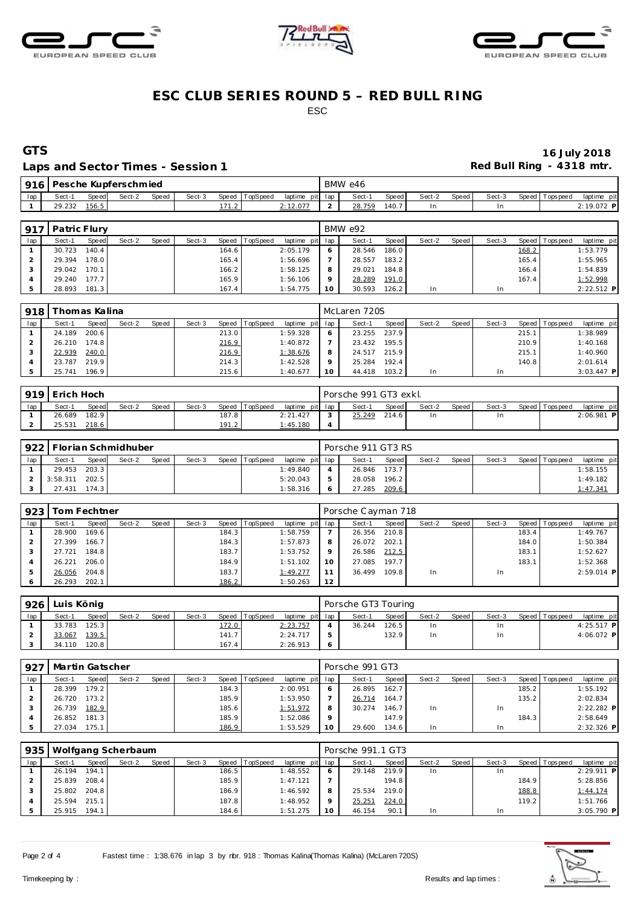





### Laps and Sector Times - Session 1 **Red Bull Ring - 4318 mtr. Red Bull Ring - 4318 mtr.**

# **GTS 16 July 2018**

| 916 <sub>1</sub> |        |              | Pesche Kupferschmied |              |        |         |                |          |         | BMW e46 |       |        |       |        |                 |             |
|------------------|--------|--------------|----------------------|--------------|--------|---------|----------------|----------|---------|---------|-------|--------|-------|--------|-----------------|-------------|
| lap              | -Sect- | <b>Speed</b> | Sect-2               | <b>Speed</b> | Sect-3 |         | Speed TopSpeed | laptime  | pit lap | Sect-   | Speed | Sect-2 | Speed | Sect-3 | Speed Tops peed | laptime pit |
|                  | 29.232 | 156.5        |                      |              |        | $1 - 1$ |                | 2:12.077 |         | 28.759  | 140.7 |        |       |        |                 | 2:19.072 P  |
|                  |        |              |                      |              |        |         |                |          |         |         |       |        |       |        |                 |             |

| 917 | Patric Flury |       |        |       |        |       |          |                 |         | BMW e92 |              |        |       |        |       |                |              |
|-----|--------------|-------|--------|-------|--------|-------|----------|-----------------|---------|---------|--------------|--------|-------|--------|-------|----------------|--------------|
| lap | Sect-1       | Speed | Sect-2 | Speed | Sect-3 | Speed | TopSpeed | laptime pit lap |         | Sect-1  | Speed        | Sect-2 | Speed | Sect-3 |       | Speed Topspeed | laptime pit  |
|     | 30.723       | 140.4 |        |       |        | 164.6 |          | 2:05.179        | 6       | 28.546  | 186.0        |        |       |        | 168.2 |                | 1:53.779     |
|     | 29.394       | 178.0 |        |       |        | 165.4 |          | 1:56.696        |         | 28.557  | 183.2        |        |       |        | 165.4 |                | 1:55.965     |
|     | 29.042 170.1 |       |        |       |        | 166.2 |          | 1:58.125        | 8       | 29.021  | 184.8        |        |       |        | 166.4 |                | 1:54.839     |
|     | 29.240 177.7 |       |        |       |        | 165.9 |          | 1:56.106        | $\circ$ | 28.289  | <u>191.0</u> |        |       |        | 167.4 |                | 1:52.998     |
|     | 28.893       | 181.3 |        |       |        | 167.4 |          | 1:54.775        | 10      | 30.593  | 126.2        | In     |       | In     |       |                | $2:22.512$ P |

| 918 | Thomas Kalina |       |        |       |        |       |                |                 |            | l McLaren 720S |       |        |       |        |       |                 |              |
|-----|---------------|-------|--------|-------|--------|-------|----------------|-----------------|------------|----------------|-------|--------|-------|--------|-------|-----------------|--------------|
| lap | Sect-1        | Speed | Sect-2 | Speed | Sect-3 |       | Speed TopSpeed | laptime pit lap |            | Sect-1         | Speed | Sect-2 | Speed | Sect-3 |       | Speed Tops peed | laptime pit  |
|     | 24.189        | 200.6 |        |       |        | 213.0 |                | 1:59.328        | $\epsilon$ | 23.255         | 237.9 |        |       |        | 215.1 |                 | 1:38.989     |
|     | 26.210 174.8  |       |        |       |        | 216.9 |                | 1:40.872        |            | 23.432         | 195.5 |        |       |        | 210.9 |                 | 1:40.168     |
|     | 22.939        | 240.0 |        |       |        | 216.9 |                | 1:38.676        | 8          | 24.517 215.9   |       |        |       |        | 215.1 |                 | 1:40.960     |
|     | 23.787        | 219.9 |        |       |        | 214.3 |                | 1:42.528        | $\circ$    | 25.284         | 192.4 |        |       |        | 140.8 |                 | 2:01.614     |
|     | 25.741        | 196.9 |        |       |        | 215.6 |                | 1:40.677        | 10         | 44.418         | 103.2 |        |       | In     |       |                 | $3:03.447$ P |

|     | 919 Erich Hoch |       |        |       |        |       |                |                 |                | Porsche 991 GT3 exkl. |       |        |       |        |                 |             |
|-----|----------------|-------|--------|-------|--------|-------|----------------|-----------------|----------------|-----------------------|-------|--------|-------|--------|-----------------|-------------|
| lap | Sect-'         | Speed | Sect-2 | Speed | Sect-3 |       | Speed TopSpeed | laptime pit lap |                | Sect-1                | Speed | Sect-2 | Speed | Sect-3 | Speed Tops peed | laptime pit |
|     | 26.689         | 182.9 |        |       |        | 187.8 |                | 2:21.427        | $\sim$         | 25.249                | 214.6 |        |       | In     |                 | 2:06.981 P  |
|     | 25.531         | 218.6 |        |       |        | 191.2 |                | <u>1:45.180</u> | $\overline{4}$ |                       |       |        |       |        |                 |             |

|     | 922   Florian Schmidhuber |       |        |       |        |                |                 | Porsche 911 GT3 RS |       |        |         |        |                 |             |
|-----|---------------------------|-------|--------|-------|--------|----------------|-----------------|--------------------|-------|--------|---------|--------|-----------------|-------------|
| lap | Sect-1                    | Speed | Sect-2 | Speed | Sect-3 | Speed TopSpeed | laptime pit lap | Sect-1             | Speed | Sect-2 | Speed I | Sect-3 | Speed Tops peed | laptime pit |
|     | 29.453                    | 203.3 |        |       |        |                | 1:49.840        | 26.846 173.7       |       |        |         |        |                 | 1:58.155    |
|     | 3:58.311                  | 202.5 |        |       |        |                | 5:20.043        | 28.058             | 196.2 |        |         |        |                 | 1:49.182    |
|     | 27.431                    | 174.3 |        |       |        |                | 1:58.316        | 27.285             | 209.6 |        |         |        |                 | 1:47.341    |

| 923 |        | Tom Fechtner |        |       |        |       |                |                 |    | Porsche Cayman 718 |       |        |       |        |       |                 |              |
|-----|--------|--------------|--------|-------|--------|-------|----------------|-----------------|----|--------------------|-------|--------|-------|--------|-------|-----------------|--------------|
| lap | Sect-1 | Speed        | Sect-2 | Speed | Sect-3 |       | Speed TopSpeed | laptime pit lap |    | Sect-1             | Speed | Sect-2 | Speed | Sect-3 |       | Speed Tops peed | laptime pit  |
|     | 28,900 | 169.6        |        |       |        | 184.3 |                | 1:58.759        |    | 26.356             | 210.8 |        |       |        | 183.4 |                 | 1:49.767     |
|     | 27.399 | 166.7        |        |       |        | 184.3 |                | 1:57.873        | 8  | 26.072             | 202.1 |        |       |        | 184.0 |                 | 1:50.384     |
|     | 27.721 | 184.8        |        |       |        | 183.7 |                | 1:53.752        | Q  | 26.586             | 212.5 |        |       |        | 183.1 |                 | 1:52.627     |
|     | 26.221 | 206.0        |        |       |        | 184.9 |                | 1:51.102        | 10 | 27.085             | 197.7 |        |       |        | 183.1 |                 | 1:52.368     |
|     | 26.056 | 204.8        |        |       |        | 183.7 |                | 1:49.277        | 11 | 36.499             | 109.8 | In     |       | In     |       |                 | $2:59.014$ P |
|     | 26.293 | 202.1        |        |       |        | 186.2 |                | 1:50.263        | 12 |                    |       |        |       |        |       |                 |              |

| 926 | Luis König |       |        |       |        |                    |                |                 | Porsche GT3 Touring |         |        |       |        |                |              |
|-----|------------|-------|--------|-------|--------|--------------------|----------------|-----------------|---------------------|---------|--------|-------|--------|----------------|--------------|
| lap | Sect-1     | Speed | Sect-2 | Speed | Sect-3 |                    | Speed TopSpeed | laptime pit lap | Sect-1              | Speed I | Sect-2 | Speed | Sect-3 | Speed Topspeed | laptime pit  |
|     | 33.783     | 125.3 |        |       |        | 172.0              |                | 2:23.757        | 36.244              | 126.5   | In     |       | ln.    |                | $4:25.517$ P |
|     | 33.067     | 139.5 |        |       |        | 141.7 <sub>1</sub> |                | 2:24.717        |                     | 132.9   | In     |       | ln.    |                | 4:06.072 P   |
|     | 34.110     | 120.8 |        |       |        | 167.4              |                | 2:26.913        |                     |         |        |       |        |                |              |

| 927 | Martin Gatscher |       |        |       |        |                    |          |                 |         | Porsche 991 GT3 |       |        |         |        |       |                 |              |
|-----|-----------------|-------|--------|-------|--------|--------------------|----------|-----------------|---------|-----------------|-------|--------|---------|--------|-------|-----------------|--------------|
| lap | Sect-1          | Speed | Sect-2 | Speed | Sect-3 | Speed              | TopSpeed | laptime pit lap |         | Sect-1          | Speed | Sect-2 | Speed I | Sect-3 |       | Speed Tops peed | laptime pit  |
|     | 28.399          | 179.2 |        |       |        | 184.3 <sub>1</sub> |          | 2:00.951        |         | 26.895          | 162.7 |        |         |        | 185.2 |                 | 1:55.192     |
|     | 26.720          | 173.2 |        |       |        | 185.9              |          | 1:53.950        |         | 26.714          | 164.7 |        |         |        | 135.2 |                 | 2:02.834     |
|     | 26.739          | 182.9 |        |       |        | 185.6              |          | 1:51.972        | 8       | 30.274          | 146.7 | In     |         |        |       |                 | $2:22.282$ P |
|     | 26.852 181.3    |       |        |       |        | 185.9              |          | 1:52.086        | $\circ$ |                 | 147.9 |        |         |        | 184.3 |                 | 2:58.649     |
|     | 27.034          | 175.1 |        |       |        | 186.9              |          | 1:53.529        | 10      | 29.600          | 134.6 | In     |         |        |       |                 | 2:32.326 P   |

| 935 |        |              | Wolfgang Scherbaum |       |        |       |          |                 |         | Porsche 991.1 GT3 |       |        |       |        |       |                 |              |  |
|-----|--------|--------------|--------------------|-------|--------|-------|----------|-----------------|---------|-------------------|-------|--------|-------|--------|-------|-----------------|--------------|--|
| lap | Sect-1 | Speed        | Sect-2             | Speed | Sect-3 | Speed | TopSpeed | laptime pit lap |         | Sect-1            | Speed | Sect-2 | Speed | Sect-3 |       | Speed Tops peed | laptime pit  |  |
|     | 26.194 | 194.1        |                    |       |        | 186.5 |          | 1:48.552        | 6       | 29.148            | 219.9 | In     |       | In     |       |                 | $2:29.911$ P |  |
|     | 25.839 | 208.4        |                    |       |        | 185.9 |          | 1:47.121        |         |                   | 194.8 |        |       |        | 184.9 |                 | 5:28.856     |  |
|     |        | 25.802 204.8 |                    |       |        | 186.9 |          | 1:46.592        | 8       | 25.534            | 219.0 |        |       |        | 188.8 |                 | 1:44.174     |  |
|     |        | 25.594 215.1 |                    |       |        | 187.8 |          | 1:48.952        | $\circ$ | 25.251            | 224.0 |        |       |        | 119.2 |                 | 1:51.766     |  |
|     | 25.915 | 194.1        |                    |       |        | 184.6 |          | 1:51.275        | 10      | 46.154            | 90.1  | In     |       | In     |       |                 | $3:05.790$ P |  |

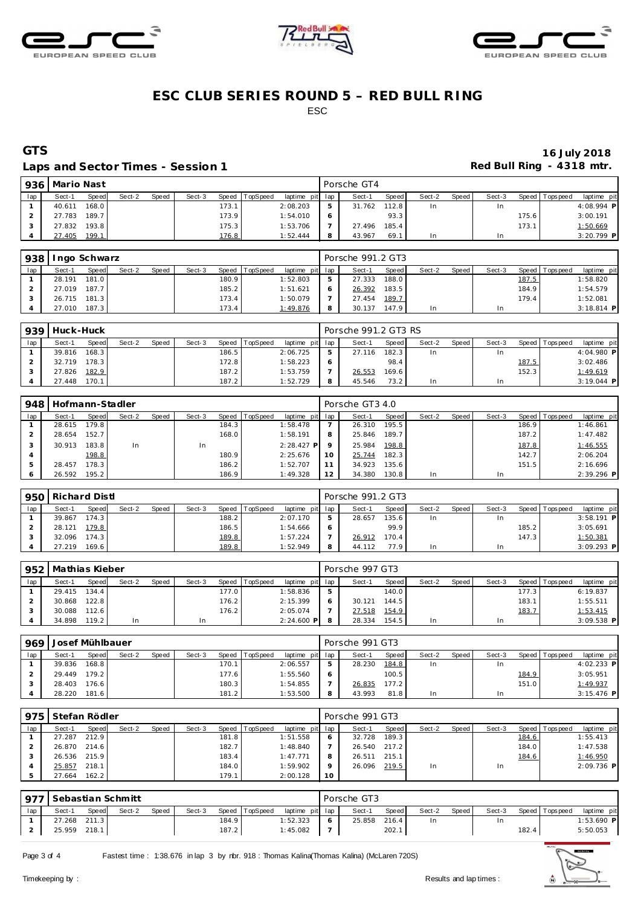





### Laps and Sector Times - Session 1 **Red Bull Ring - 4318 mtr. Red Bull Ring - 4318 mtr.**

# **GTS 16 July 2018**

| 936 | Mario Nast |       |        |       |        |                    |          |                 | Porsche GT4 |       |        |       |        |        |                 |              |
|-----|------------|-------|--------|-------|--------|--------------------|----------|-----------------|-------------|-------|--------|-------|--------|--------|-----------------|--------------|
| lap | Sect-1     | Speed | Sect-2 | Speed | Sect-3 | Speed              | TopSpeed | laptime pit lap | Sect-1      | Speed | Sect-2 | Speed | Sect-3 |        | Speed Tops peed | laptime pit  |
|     | 40.611     | 168.0 |        |       |        | 173.1              |          | 2:08.203        | 31.762      | 112.8 | In     |       |        |        |                 | 4:08.994 P   |
|     | 27.783     | 189.7 |        |       |        | 173.9              |          | 1:54.010        |             | 93.3  |        |       |        | 175.61 |                 | 3:00.191     |
|     | 27.832     | 193.8 |        |       |        | 175.3 <sub>1</sub> |          | 1:53.706        | 27.496      | 185.4 |        |       |        | 173.1  |                 | 1:50.669     |
|     | 27.405     | 199.1 |        |       |        | 176.8              |          | 1:52.444        | 43.967      | 69.1  | In     |       |        |        |                 | $3:20.799$ P |

| 938 | Ingo Schwarz |       |        |       |        |       |                |                 | Porsche 991.2 GT3 |         |        |         |        |       |                 |              |
|-----|--------------|-------|--------|-------|--------|-------|----------------|-----------------|-------------------|---------|--------|---------|--------|-------|-----------------|--------------|
| lap | Sect-1       | Speed | Sect-2 | Speed | Sect-3 |       | Speed TopSpeed | laptime pit lap | Sect-1            | Speed I | Sect-2 | Speed I | Sect-3 |       | Speed Tops peed | laptime pit  |
|     | 28.191       | 181.0 |        |       |        | 180.9 |                | 1:52.803        | 27.333            | 188.0   |        |         |        | 187.5 |                 | 1:58.820     |
|     | 27.019       | 187.7 |        |       |        | 185.2 |                | 1:51.621        | 26.392            | 183.5   |        |         |        | 184.9 |                 | 1:54.579     |
|     | 26.715 181.3 |       |        |       |        | 173.4 |                | 1:50.079        | 27.454 189.7      |         |        |         |        | 179.4 |                 | 1:52.081     |
|     | 27.010       | 187.3 |        |       |        | 173.4 |                | 1:49.876        | 30.137            | 147.9   | In     |         |        |       |                 | $3:18.814$ P |

|     | 939 Huck-Huck |       |        |       |        |                |                 | Porsche 991.2 GT3 RS |         |        |         |        |       |                 |              |
|-----|---------------|-------|--------|-------|--------|----------------|-----------------|----------------------|---------|--------|---------|--------|-------|-----------------|--------------|
| lap | Sect-1        | Speed | Sect-2 | Speed | Sect-3 | Speed TopSpeed | laptime pit lap | Sect-1               | Speed I | Sect-2 | Speed I | Sect-3 |       | Speed Tops peed | laptime pit  |
|     | 39.816        | 168.3 |        |       | 186.5  |                | 2:06.725        | 27.116               | 182.3   | In.    |         |        |       |                 | 4:04.980 P   |
|     | 32.719        | 178.3 |        |       | 172.8  |                | 1:58.223        |                      | 98.4    |        |         |        | 187.5 |                 | 3:02.486     |
|     | 27.826        | 182.9 |        |       | 187.2  |                | 1:53.759        | 26.553               | 169.6   |        |         |        | 152.3 |                 | 1:49.619     |
|     | 27.448        | 170.1 |        |       | 187.2  |                | 1:52.729        | 45.546               | 73.2    | In.    |         |        |       |                 | $3:19.044$ P |

| 948 | Hofmann-Stadler |         |        |       |        |       |                 |                 |    | Porsche GT3 4.0 |         |        |       |        |       |                |              |
|-----|-----------------|---------|--------|-------|--------|-------|-----------------|-----------------|----|-----------------|---------|--------|-------|--------|-------|----------------|--------------|
| lap | Sect-1          | Speed   | Sect-2 | Speed | Sect-3 | Speed | <b>TopSpeed</b> | laptime pit lap |    | Sect-1          | Speed   | Sect-2 | Speed | Sect-3 |       | Speed Topspeed | laptime pit  |
|     | 28.615          | 179.8 I |        |       |        | 184.3 |                 | 1:58.478        |    | 26.310          | 195.5   |        |       |        | 186.9 |                | 1:46.861     |
|     | 28.654          | 152.7   |        |       |        | 168.0 |                 | 1:58.191        | 8  | 25.846          | 189.7   |        |       |        | 187.2 |                | 1:47.482     |
|     | 30.913          | 183.8   | In     |       | In     |       |                 | $2:28.427$ P    |    | 25.984          | 198.8   |        |       |        | 187.8 |                | 1:46.555     |
|     |                 | 198.8   |        |       |        | 180.9 |                 | 2:25.676        | 10 | 25.744          | 182.3   |        |       |        | 142.7 |                | 2:06.204     |
|     | 28.457          | 178.3 I |        |       |        | 186.2 |                 | 1:52.707        | 11 | 34.923          | 135.6   |        |       |        | 151.5 |                | 2:16.696     |
|     | 26.592          | 195.2   |        |       |        | 186.9 |                 | 1:49.328        | 12 | 34.380          | 130.8 I | In     |       | In     |       |                | $2:39.296$ P |

| 950 | Richard Distl |              |        |       |        |       |          |                 |   | Porsche 991.2 GT3 |       |        |       |        |       |                |              |  |
|-----|---------------|--------------|--------|-------|--------|-------|----------|-----------------|---|-------------------|-------|--------|-------|--------|-------|----------------|--------------|--|
| lap | Sect-1        | <b>Speed</b> | Sect-2 | Speed | Sect-3 | Speed | TopSpeed | laptime pit lap |   | Sect-1            | Speed | Sect-2 | Speed | Sect-3 |       | Speed Topspeed | laptime pit  |  |
|     | 39.867        | 174.3        |        |       |        | 188.2 |          | 2:07.170        | ь | 28.657            | 135.6 | In     |       |        |       |                | $3:58.191$ P |  |
|     | 28.121        | 179.8        |        |       |        | 186.5 |          | 1:54.666        | O |                   | 99.9  |        |       |        | 185.2 |                | 3:05.691     |  |
|     | 32.096        | 174.3        |        |       |        | 189.8 |          | 1:57.224        |   | 26.912            | 170.4 |        |       |        | 147.3 |                | 1:50.381     |  |
|     | 27.219        | 169.6 l      |        |       |        | 189.8 |          | 1:52.949        | 8 | 44.112            | 77.9  | In     |       | In.    |       |                | $3:09.293$ P |  |

|     | 952   Mathias Kieber |       |        |       |        |       |          |                 |   | Porsche 997 GT3 |       |        |       |        |        |                 |              |
|-----|----------------------|-------|--------|-------|--------|-------|----------|-----------------|---|-----------------|-------|--------|-------|--------|--------|-----------------|--------------|
| lap | Sect-1               | Speed | Sect-2 | Speed | Sect-3 | Speed | TopSpeed | laptime pit lap |   | Sect-1          | Speed | Sect-2 | Speed | Sect-3 |        | Speed Tops peed | laptime pit  |
|     | 29.415 134.4         |       |        |       |        | 177.0 |          | 1:58.836        | 5 |                 | 140.0 |        |       |        | 177.3  |                 | 6:19.837     |
|     | 30.868               | 122.8 |        |       |        | 176.2 |          | 2:15.399        | 6 | 30.121          | 144.5 |        |       |        | 183.11 |                 | 1:55.511     |
|     | 30.088               | 112.6 |        |       |        | 176.2 |          | 2:05.074        |   | 27.518          | 154.9 |        |       |        | 183.7  |                 | 1:53.415     |
|     | 34.898               | 119.2 | In     |       |        |       |          | $2:24.600$ P    | 8 | 28.334          | 154.5 | In     |       | In     |        |                 | $3:09.538$ P |

| 969 | Josef Mühlbauer |         |        |       |        |                |                 |   | Porsche 991 GT3 |       |        |       |        |       |                 |              |
|-----|-----------------|---------|--------|-------|--------|----------------|-----------------|---|-----------------|-------|--------|-------|--------|-------|-----------------|--------------|
| lap | Sect-1          | Speed   | Sect-2 | Speed | Sect-3 | Speed TopSpeed | laptime pit lap |   | Sect-1          | Speed | Sect-2 | Speed | Sect-3 |       | Speed Tops peed | laptime pit  |
|     | 39.836          | 168.8   |        |       | 170.1  |                | 2:06.557        | ь | 28.230          | 184.8 | In     |       | In     |       |                 | $4:02.233$ P |
|     | 29.449          | 179.2   |        |       | 177.6  |                | 1:55.560        | 6 |                 | 100.5 |        |       |        | 184.9 |                 | 3:05.951     |
|     | 28.403          | 176.6   |        |       | 180.3  |                | 1:54.855        |   | 26.835          | 177.2 |        |       |        | 151.0 |                 | 1:49.937     |
|     | 28.220          | 181.6 L |        |       | 181.2  |                | 1:53.500        | 8 | 43.993          | 81.8  | In     |       | In     |       |                 | $3:15.476$ P |

|     | 975   Stefan Rödler |              |        |       |        |                |                 |         | Porsche 991 GT3 |       |        |       |        |       |                 |              |
|-----|---------------------|--------------|--------|-------|--------|----------------|-----------------|---------|-----------------|-------|--------|-------|--------|-------|-----------------|--------------|
| lap | Sect-1              | Speed        | Sect-2 | Speed | Sect-3 | Speed TopSpeed | laptime pit lap |         | Sect-1          | Speed | Sect-2 | Speed | Sect-3 |       | Speed Tops peed | laptime pit  |
|     | 27.287              | 212.9        |        |       |        | 181.8          | 1:51.558        | 6       | 32.728          | 189.3 |        |       |        | 184.6 |                 | 1:55.413     |
|     |                     | 26.870 214.6 |        |       | 182.7  |                | 1:48.840        |         | 26.540 217.2    |       |        |       |        | 184.0 |                 | 1:47.538     |
|     |                     | 26.536 215.9 |        |       | 183.4  |                | 1:47.771        | 8       | 26.511          | 215.1 |        |       |        | 184.6 |                 | 1:46.950     |
|     | 25.857              | 218.1        |        |       |        | 184.0          | 1:59.902        | $\circ$ | 26.096          | 219.5 | -In    |       | In     |       |                 | $2:09.736$ P |
|     | 27.664              | 162.2        |        |       | 179.1  |                | 2:00.128        | -10     |                 |       |        |       |        |       |                 |              |

| 977' |        |       | Sebastian Schmitt |              |        |       |                |                 |            | Porsche GT3 |       |        |       |        |       |                |             |
|------|--------|-------|-------------------|--------------|--------|-------|----------------|-----------------|------------|-------------|-------|--------|-------|--------|-------|----------------|-------------|
| lap  | Sect-1 | Speed | Sect-2            | <b>Speed</b> | Sect-3 |       | Speed TopSpeed | laptime pit lap |            | Sect-1      | Speed | Sect-2 | Speed | Sect-3 |       | Speed Topspeed | laptime pit |
|      | 27.268 | 211.3 |                   |              |        | 184.9 |                | 1:52.323        | $\epsilon$ | 25.858      | 216.4 | In     |       | In     |       |                | 1:53.690 P  |
|      | 25.959 | 218.1 |                   |              |        | 187.2 |                | 1:45.082        |            |             | 202.1 |        |       |        | 182.4 |                | 5:50.053    |

Page 3 of 4 Fastest time : 1:38.676 in lap 3 by nbr. 918 : Thomas Kalina(Thomas Kalina) (McLaren 720S)